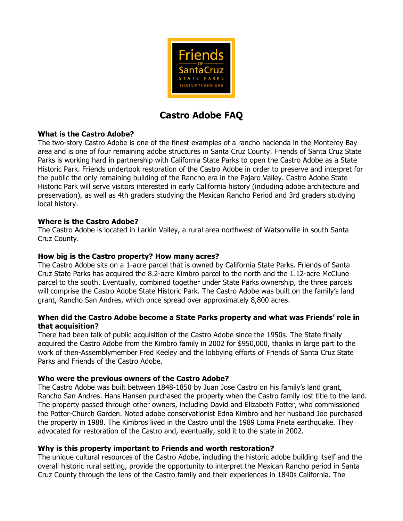

# **Castro Adobe FAQ**

# **What is the Castro Adobe?**

The two-story Castro Adobe is one of the finest examples of a rancho hacienda in the Monterey Bay area and is one of four remaining adobe structures in Santa Cruz County. Friends of Santa Cruz State Parks is working hard in partnership with California State Parks to open the Castro Adobe as a State Historic Park. Friends undertook restoration of the Castro Adobe in order to preserve and interpret for the public the only remaining building of the Rancho era in the Pajaro Valley. Castro Adobe State Historic Park will serve visitors interested in early California history (including adobe architecture and preservation), as well as 4th graders studying the Mexican Rancho Period and 3rd graders studying local history.

# **Where is the Castro Adobe?**

The Castro Adobe is located in Larkin Valley, a rural area northwest of Watsonville in south Santa Cruz County.

# **How big is the Castro property? How many acres?**

The Castro Adobe sits on a 1-acre parcel that is owned by California State Parks. Friends of Santa Cruz State Parks has acquired the 8.2-acre Kimbro parcel to the north and the 1.12-acre McClune parcel to the south. Eventually, combined together under State Parks ownership, the three parcels will comprise the Castro Adobe State Historic Park. The Castro Adobe was built on the family's land grant, Rancho San Andres, which once spread over approximately 8,800 acres.

## **When did the Castro Adobe become a State Parks property and what was Friends' role in that acquisition?**

There had been talk of public acquisition of the Castro Adobe since the 1950s. The State finally acquired the Castro Adobe from the Kimbro family in 2002 for \$950,000, thanks in large part to the work of then-Assemblymember Fred Keeley and the lobbying efforts of Friends of Santa Cruz State Parks and Friends of the Castro Adobe.

# **Who were the previous owners of the Castro Adobe?**

The Castro Adobe was built between 1848-1850 by Juan Jose Castro on his family's land grant, Rancho San Andres. Hans Hansen purchased the property when the Castro family lost title to the land. The property passed through other owners, including David and Elizabeth Potter, who commissioned the Potter-Church Garden. Noted adobe conservationist Edna Kimbro and her husband Joe purchased the property in 1988. The Kimbros lived in the Castro until the 1989 Loma Prieta earthquake. They advocated for restoration of the Castro and, eventually, sold it to the state in 2002.

# **Why is this property important to Friends and worth restoration?**

The unique cultural resources of the Castro Adobe, including the historic adobe building itself and the overall historic rural setting, provide the opportunity to interpret the Mexican Rancho period in Santa Cruz County through the lens of the Castro family and their experiences in 1840s California. The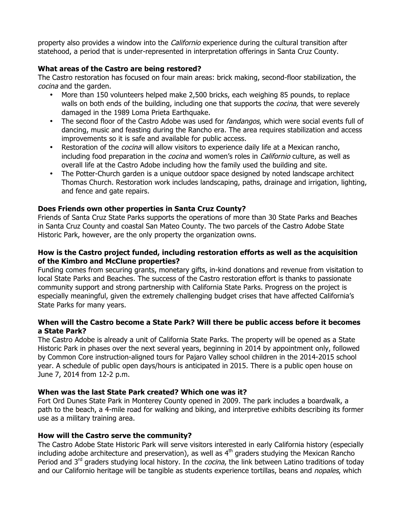property also provides a window into the *Californio* experience during the cultural transition after statehood, a period that is under-represented in interpretation offerings in Santa Cruz County.

## **What areas of the Castro are being restored?**

The Castro restoration has focused on four main areas: brick making, second-floor stabilization, the cocina and the garden.

- More than 150 volunteers helped make 2,500 bricks, each weighing 85 pounds, to replace walls on both ends of the building, including one that supports the *cocina*, that were severely damaged in the 1989 Loma Prieta Earthquake.
- The second floor of the Castro Adobe was used for *fandangos*, which were social events full of dancing, music and feasting during the Rancho era. The area requires stabilization and access improvements so it is safe and available for public access.
- Restoration of the *cocina* will allow visitors to experience daily life at a Mexican rancho, including food preparation in the *cocina* and women's roles in *Californio* culture, as well as overall life at the Castro Adobe including how the family used the building and site.
- The Potter-Church garden is a unique outdoor space designed by noted landscape architect Thomas Church. Restoration work includes landscaping, paths, drainage and irrigation, lighting, and fence and gate repairs.

## **Does Friends own other properties in Santa Cruz County?**

Friends of Santa Cruz State Parks supports the operations of more than 30 State Parks and Beaches in Santa Cruz County and coastal San Mateo County. The two parcels of the Castro Adobe State Historic Park, however, are the only property the organization owns.

#### **How is the Castro project funded, including restoration efforts as well as the acquisition of the Kimbro and McClune properties?**

Funding comes from securing grants, monetary gifts, in-kind donations and revenue from visitation to local State Parks and Beaches. The success of the Castro restoration effort is thanks to passionate community support and strong partnership with California State Parks. Progress on the project is especially meaningful, given the extremely challenging budget crises that have affected California's State Parks for many years.

# **When will the Castro become a State Park? Will there be public access before it becomes a State Park?**

The Castro Adobe is already a unit of California State Parks. The property will be opened as a State Historic Park in phases over the next several years, beginning in 2014 by appointment only, followed by Common Core instruction-aligned tours for Pajaro Valley school children in the 2014-2015 school year. A schedule of public open days/hours is anticipated in 2015. There is a public open house on June 7, 2014 from 12-2 p.m.

# **When was the last State Park created? Which one was it?**

Fort Ord Dunes State Park in Monterey County opened in 2009. The park includes a boardwalk, a path to the beach, a 4-mile road for walking and biking, and interpretive exhibits describing its former use as a military training area.

#### **How will the Castro serve the community?**

The Castro Adobe State Historic Park will serve visitors interested in early California history (especially including adobe architecture and preservation), as well as  $4<sup>th</sup>$  graders studying the Mexican Rancho Period and 3<sup>rd</sup> graders studying local history. In the *cocina*, the link between Latino traditions of today and our Californio heritage will be tangible as students experience tortillas, beans and *nopales*, which